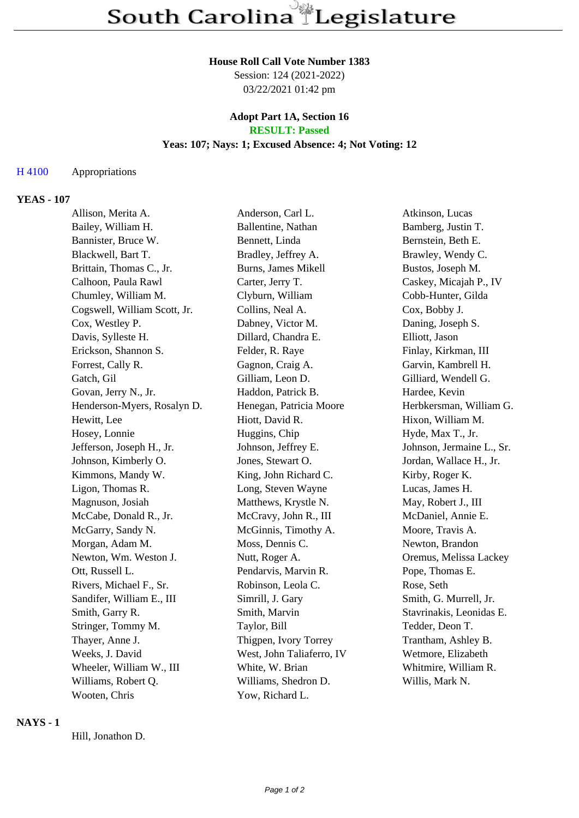## **House Roll Call Vote Number 1383**

Session: 124 (2021-2022) 03/22/2021 01:42 pm

#### **Adopt Part 1A, Section 16 RESULT: Passed**

## **Yeas: 107; Nays: 1; Excused Absence: 4; Not Voting: 12**

# H 4100 Appropriations

# **YEAS - 107**

| Allison, Merita A.           | Anderson, Carl L.         | Atkinson, Lucas           |
|------------------------------|---------------------------|---------------------------|
| Bailey, William H.           | Ballentine, Nathan        | Bamberg, Justin T.        |
| Bannister, Bruce W.          | Bennett, Linda            | Bernstein, Beth E.        |
| Blackwell, Bart T.           | Bradley, Jeffrey A.       | Brawley, Wendy C.         |
| Brittain, Thomas C., Jr.     | Burns, James Mikell       | Bustos, Joseph M.         |
| Calhoon, Paula Rawl          | Carter, Jerry T.          | Caskey, Micajah P., IV    |
| Chumley, William M.          | Clyburn, William          | Cobb-Hunter, Gilda        |
| Cogswell, William Scott, Jr. | Collins, Neal A.          | Cox, Bobby J.             |
| Cox, Westley P.              | Dabney, Victor M.         | Daning, Joseph S.         |
| Davis, Sylleste H.           | Dillard, Chandra E.       | Elliott, Jason            |
| Erickson, Shannon S.         | Felder, R. Raye           | Finlay, Kirkman, III      |
| Forrest, Cally R.            | Gagnon, Craig A.          | Garvin, Kambrell H.       |
| Gatch, Gil                   | Gilliam, Leon D.          | Gilliard, Wendell G.      |
| Govan, Jerry N., Jr.         | Haddon, Patrick B.        | Hardee, Kevin             |
| Henderson-Myers, Rosalyn D.  | Henegan, Patricia Moore   | Herbkersman, William G.   |
| Hewitt, Lee                  | Hiott, David R.           | Hixon, William M.         |
| Hosey, Lonnie                | Huggins, Chip             | Hyde, Max T., Jr.         |
| Jefferson, Joseph H., Jr.    | Johnson, Jeffrey E.       | Johnson, Jermaine L., Sr. |
| Johnson, Kimberly O.         | Jones, Stewart O.         | Jordan, Wallace H., Jr.   |
| Kimmons, Mandy W.            | King, John Richard C.     | Kirby, Roger K.           |
| Ligon, Thomas R.             | Long, Steven Wayne        | Lucas, James H.           |
| Magnuson, Josiah             | Matthews, Krystle N.      | May, Robert J., III       |
| McCabe, Donald R., Jr.       | McCravy, John R., III     | McDaniel, Annie E.        |
| McGarry, Sandy N.            | McGinnis, Timothy A.      | Moore, Travis A.          |
| Morgan, Adam M.              | Moss, Dennis C.           | Newton, Brandon           |
| Newton, Wm. Weston J.        | Nutt, Roger A.            | Oremus, Melissa Lackey    |
| Ott, Russell L.              | Pendarvis, Marvin R.      | Pope, Thomas E.           |
| Rivers, Michael F., Sr.      | Robinson, Leola C.        | Rose, Seth                |
| Sandifer, William E., III    | Simrill, J. Gary          | Smith, G. Murrell, Jr.    |
| Smith, Garry R.              | Smith, Marvin             | Stavrinakis, Leonidas E.  |
| Stringer, Tommy M.           | Taylor, Bill              | Tedder, Deon T.           |
| Thayer, Anne J.              | Thigpen, Ivory Torrey     | Trantham, Ashley B.       |
| Weeks, J. David              | West, John Taliaferro, IV | Wetmore, Elizabeth        |
| Wheeler, William W., III     | White, W. Brian           | Whitmire, William R.      |
| Williams, Robert Q.          | Williams, Shedron D.      | Willis, Mark N.           |
| Wooten, Chris                | Yow, Richard L.           |                           |

# **NAYS - 1**

Hill, Jonathon D.